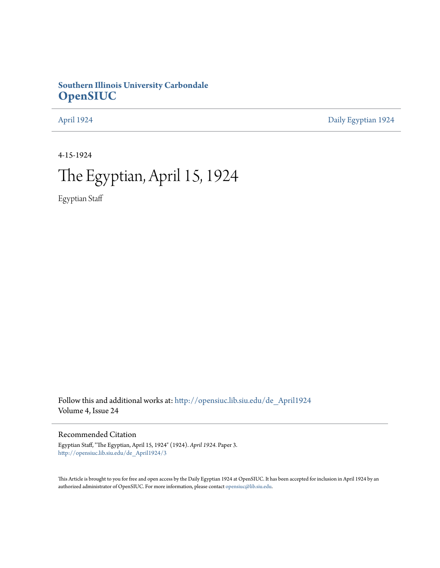# **Southern Illinois University Carbondale [OpenSIUC](http://opensiuc.lib.siu.edu?utm_source=opensiuc.lib.siu.edu%2Fde_April1924%2F3&utm_medium=PDF&utm_campaign=PDFCoverPages)**

[April 1924](http://opensiuc.lib.siu.edu/de_April1924?utm_source=opensiuc.lib.siu.edu%2Fde_April1924%2F3&utm_medium=PDF&utm_campaign=PDFCoverPages) [Daily Egyptian 1924](http://opensiuc.lib.siu.edu/de_1924?utm_source=opensiuc.lib.siu.edu%2Fde_April1924%2F3&utm_medium=PDF&utm_campaign=PDFCoverPages)

4-15-1924

# The Egyptian, April 15, 1924

Egyptian Staff

Follow this and additional works at: [http://opensiuc.lib.siu.edu/de\\_April1924](http://opensiuc.lib.siu.edu/de_April1924?utm_source=opensiuc.lib.siu.edu%2Fde_April1924%2F3&utm_medium=PDF&utm_campaign=PDFCoverPages) Volume 4, Issue 24

## Recommended Citation

Egyptian Staff, "The Egyptian, April 15, 1924" (1924). *April 1924.* Paper 3. [http://opensiuc.lib.siu.edu/de\\_April1924/3](http://opensiuc.lib.siu.edu/de_April1924/3?utm_source=opensiuc.lib.siu.edu%2Fde_April1924%2F3&utm_medium=PDF&utm_campaign=PDFCoverPages)

This Article is brought to you for free and open access by the Daily Egyptian 1924 at OpenSIUC. It has been accepted for inclusion in April 1924 by an authorized administrator of OpenSIUC. For more information, please contact [opensiuc@lib.siu.edu](mailto:opensiuc@lib.siu.edu).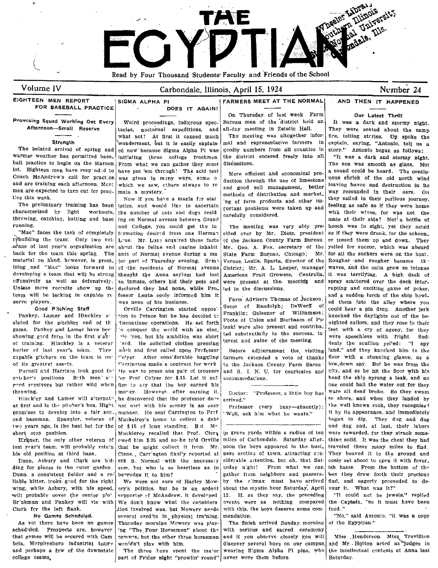

 $\overline{\mathcal{L}}$ 

# Volume IV Carbondale, Illinois, April 15, 1924 Number 24

Promising Squad Working Out Every Afternoon-Small Reserve

FOR BASEBALL PRACTICE

warmer weather has permitted base. initiating three college freshmen. the district entered freely into all "It was a dark and stormy night. ball practice to begin on the Maroon From what we can gather they must discussions.<br>lot. Eighteen men have responded to have put 'em through! The acid test Maro efficient and sounominal are a sound could be heard. The con lot. Eighteen men have resp-nd=d to have put 'em thrcugh! The acid test More efficient and economical pro- a sound could be heard. The contin-<br>Coach McAndrew's call for practice was given in many ways, some of duction thr Loach McA,ndrew's call for practice. was given in m3ny ways, some 0 duction through the use of limestone uous shriek of the old north wind and are training each afternoon. Mer: which we saw, ethers always to re and good soil management, better <sup>leaving</sup> havoc and destruction in its men are expected to turn out for prace main a mystery.

characterized by light workouts, the number of cats and dogs resid carefully considered. with their wives, for was not the throwing, catching, batting and base ing on Normal avenue between Grand throwing, catching, batting and base ing on Normal avenue between Grand care and contract their side? Not<sup>1</sup> a bottle of running.

rebuilding the team: Only two vet- L-se. Mr. Luse acquired these facts of the Jackson County Farm Bureau. er tossed them up and down. They are about the set of the succer, which was absurded them- up and down. They back for the team this spring. The ants of Normal avenue during a ma State Farm Bureau, Chicago; Mr. for all the suckers were on the boat.<br>material on hand, however, is prom. for part of Thursday evening. Some Vernon Lesl material on hand, hrwever, is prom\_ jor part of Thursday evening. Soma Vernon Leslie, Sparta, director of the Rougher and rougher became the ising and "Mac" looks forward to cf the residents of Normal avenue district; Mr. ising and "Mac" looks forward to cf the residents of Normal avenue district; Mr. A. L. Leeper, manager waves, and the calm grew so intense<br>developing a team that will be strong thought the Anna asylum had lost American Fr developing a team that will be strong thought the Anna asylum had lost American Fruit Growers, Centralia, it was television of the meeting and  $\frac{1}{n}$  and  $\frac{1}{n}$  are terminally a high dash of the meeting and  $\frac{1}{n}$ cffensively as well as defensively.  $\begin{vmatrix} \text{an } \text{inmate}, \text{other} \end{vmatrix}$  their pets and were present at the meeting and spray scattered over the deck inter-<br>Unless more recruits show up the declared they had none, while Pro- le team will be lacking in capable re fessor Lentz cooly informed him it Farm Advisers Thomas of Jackson; and a sudden lurch of the ship bowl-<br>serve players.

game. Pankey and Lamer have bee  $\begin{bmatrix} 0 & \text{conquer the world with an elec.} \end{bmatrix}$  the substantially to the success, in each lead agony, for they showing gord form in the first s'a $\frac{1}{2}$  in the ron, but his ambition was short ted substantially to the success, in were speechless with fright. Sud-<br>Analyzed substantial and the substantial analyzed successive terest of training. Hinckley is a veterar ved. He solicited clothes pressing terest and value of the meeting. | denly the scullion yel'ed: "I spy hurler of last year's team. Thre work and first called upon Prefessor Before adjournment the visiting land," and they knocked him to the

cotther's positions. Beth men' a'' for Prof Colyer for \$.15. Let it suf- accommodations.<br>
red receivers but rather wild when floe to say that the boy earned his and the submanisment of they are could bail the water out for

at first and in the pitcher's box. Hight: not nort with his money in an easy professor (very busy-absently): the well known rock, they recognized<br>promises to develop into a fair sec. manner. He sent Carrington to Pref (We prom'ses to develop into a fair sec. manner. He sent Carrington to Pref  $\cdot$  Well, ask him what he wants." it by its appearance, and immediately ond baseman. Spangler, veteran of Muckelroy's home to collect a debt ond baseman. Spangler, veteran of Muckelroy's home to collect a debt twe years ago, is the best bet for the of \$15 of long standing. Bit M". The standing is and dug and, at last, their labors short stop paid dug and, at last, their labors short stop paid dug and. at last, their labors short stop position.

Birkner, the only other veteran of last year's team, will probably retain

ding for places in the ruter garden. sum, but who is so heartless as to urday night! From what we can ish haste. From the bottom of the Dunn. a consistent fielder and a re<sup>r</sup> be~rudge it to him? **Follow** and passers and passers. box they drew forth their precious in their precious in the state of Harley Mow. by the climax must have arrived find, and eager liable hitter, leoks good for the right We were not sure of Harley Mowwing, while Asbury, with his speed, ery's politics. but he is an ardent about the mystic-hour Saturday, April vour it. What was it?" will probably cover the center plo' supporter of McAndrew. it developed 12. If, as they say, the preceding "It could net be jewels," replied Br'nkman and Pankey will vie with We don't know what the considera events were as nothing compared the Captain, "so it must have been<br>Clark for the left flank.

scheduled. Prospects are, however 'ng "The Four Horsemen" about the with serious and sacred ceremony

The belated arrival of spring and ed now because Sigma Alpha Pi was goodly numbers from all counties in story." Antonio began as follows:<br>Warmer weather has permitted base. initiating three college freshmen the district e

"Mac" faces the task of completely (crmation desired from one Herman sided over by Mr. Dietz, president rebuilding the team: Only two vet Luse, Mr. Luse acquired these facts of the Jackson County Farm Bureau. about the feline and canine inhabit Mr. Geo. A. Fox, secretary of the

Pankey, Lamer and Hinckley a tion to Prince but he has decided to Franklin; Galeener of Williamson; knocked the daylights out of the be-<br>slated for the pitching end of the discontinue operations. He set forth vote of Unio discontinue operations. He set forth  $\begin{bmatrix} \text{Fooke of Union and Bierbaum of Pt}\\ \text{last of output} \end{bmatrix}$  righted sailors, and they rose to their of its greatest assets.<br>Purnell and Harrison look good for He was to press one pair of trousers and S. J. N. U. for courtesies and fice to say that the boy earned his Muckleroy recalled that Prof. Cisr cwed him \$.25 and so- he to'd Orville that he might collect it from Mr. his old position at third base. Cisne., Carr'ngton finally reported at uses section of town, attracting con-<br>Dunn, Asbury and Clark are b'd- 608 S. Normal with the necessary siderable attention, but oh, that Sat- cooly se Dunn, Asbury and Clark are b<sup>'d</sup>: 608 S. Normal with the necessary siderable attention, but oh. that Sat-

tion favolved was. but Mowery needs. No Games Scheduled. speries in physical tra'ning. mendation. The second trafficient of the second visit was a copy As yet there have been no games Thursday morning Mowery was play- The finish arrived Sunday. morning of the Egyptian."

college teams, **part of Friday night "prowlin' round"** never wore them before. Saturday.

# EIGHTEEN MEN REPORT SIGMA ALPHA PI<br>FOR BASEBALL PRACTICE SIGMA ALPHA PI DOES IT AGAIN! FARMERS MEET AT THE NORMAL AND THEN IT HAPPENED

On Thursday of last week Farm our Latest Thrill<br>Bureau men of the district held and It was a dark and storm Weird proceedings, ludicrous spec. Bureau men of the district held an It was a dark and stormy night.<br>cles. nocturnal expeditions, and all-day meeting in Zetetic Hall. They were seated about the camp

men are expected to turn out fer prac- main a mystery.<br>tice this week. Mow if you have a mania for state in the case of distribution and other im

tacles, nocturnal expeditions, and all-day meeting in Zetetic Hall. They were seated about the camp what not? At first it caused much The meeting was altogether infor-<br> what not? At first it caused much The meeting was altogether infor- fire, telling steries. Up spoke the vonderment but it is easily explain. and representative farmers in captain, saying, "Antonio, tell us a ~trength 'wonderment, *but* it is easily explain- mal and representative farmers in captain, saying, "Antonio, tell us a

ce this week.<br>The preliminary training has been stricts, and would like to ascertain  $\begin{bmatrix} \log_{10} t & \log_{10} t & \log_{10} t & \log_{10} t & \log_{10} t & \log_{10} t & \log_{10} t & \log_{10} t & \log_{10} t & \log_{10} t & \log_{10} t & \log_{10} t & \log_{10} t & \log_{10} t & \log_{10} t & \log_{10} t & \$ the preliminary training training training the products and other im- feeling as safe as if they were home the number of cats and does residence the source the services and with their wives, for was not the nning.<br>"Mac" faces the task of completely earned to desired from one Herman sided over by Mr. Dietz, president as if they were drunk, for the schoon rupting and exciting game of poker, layers.<br>Server a serve players and the server of his business. The manufacture of the end of them into the alley where<br>Good Pitching Staff (Orville Carrington started oppos Secor of Randolph; DeWerlI of could hear a pin d Secor et Randolph; Dewern or could hear a pin drop. Another jerk<br>Franklin: Galeener of Williamson; second the fact the could hear capable p;tchers on the team is on  $\vert$  Colyer. After considerable haggling farmers extended a vote of thanks floor with a stunning glance, as a of its greatest assets. Purnell and Harrison look good for He was to press one pair of trousers and S. I. N. U. for courtesies and city, and as he hit the floor with h!s ent here are extended to be all the floor with his entangled the ship sprun throwing.  $\begin{vmatrix} \text{morey.} & \text{However.} & \text{after earning it.} \\ \text{morey.} & \text{However.} & \text{after earning it.} \end{vmatrix}$  D:ctor: "Professor, a little boy has were all dead broke. So they swam he discovered that the professor do<sup>28</sup> arrived." The example of to shore, and when they Ianded by not part with his money in an easy professor (very busy-absently). The well known rock, they recognized were rewarded, for they struck somemiles of Carbondale. Saturday after- thing solid. It was the chest they had noon the boys appeared in the busi. traveled these many miles to find.

that games will be secured with Cam  $\vert$  campus; but the other three horsemen and if you observe closely you will | Miss . Henderson. Miss Trovillicn wenidu't plav with him.  $\int$  discover several boys on our campus. and Mr. Hotton acted as "judges in and perhaps a few of the downstate The three hoys spent the ma'or wearing Sigma Alpha Pi pins, who the intellectual contests at Anna last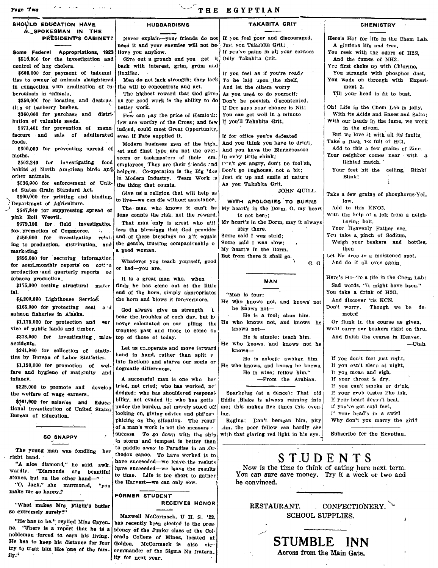### Page Two THE EGYPTIAN SHOULD EDUCATION HAVE HUBBARDISMS TAKABITA GRIT **CHEMISTRY** A SPOKESMAN IN THE Never explain-your friends do not If you feel poor and discouraged, each it and your enemies will not be  $\sqrt{y}$  you Takabita Grit; Here's Ho! for life in the Chem Lab. PRESIDENT'S CABINET? need it and your enemies will not be-<br>lieve you anyhow. A glorious life and free, If you've pains in all your corners Only Takabita Grit. You reek with the odors of H2S, Some Federal Appropriations, 1923 Give out a grouch and you get it And the fumes of NH3. \$510,000 for the investigation and control of hog cholera. back with interest, grim, grum and Yeu first choke up with Chlorine, jlnxlike. You strangle with phosphor dust, It you feel as if you're ready \$600,000 for payment of indemnt. ties to owner of animals slaughtered Men do not lack strength; they lack You wade on through with Experi-To be laid upon the shelf, in connection with eradication of  $tu$ the will to concentrate and act. And let the others worry ment 2, berculosis in animals. The highest reward that God gives As you used to do yourself; Till your head is fit to bust. us for good work is the ability to do  $$350,000$  for location and destruc. Don't be peevish, discontented, tion of barberry bushes.  $\overline{\phantom{0}}$ better work. If Doc says your chance is Nit: Oh! Life in the Chem Lab is jolly, With its Acids and Bases and Salts; You can get well in a minute \$360,000 for purchase and distrl- Few can pay the price of Hemlock: With our heads in the fume, we work bution of valuable seeds. If you'll Takabita Grit. few are worthy of the Cross; and few \$671,401 for prevention of manuin the gloom, indeed, could meet Great opportunity, facture and sale of adulterated But We love it with all its faults. If for office you're defeated<br>And you think you have to drink. foods. Take a flask 1-2 full of HCI. Modern business men of the high\_ And you think you have to drints and finst type are not the over-, And you have the Bingazoozoos Add to this a few grains of Zinc, \$600,000 for preventing spread of est and finst type are not the over-<br>seers or taskmasters of their em. In ev'ry little chink; Your neightor comes near with a moths.<br> seers or taskmasters of their em- in ev'ry little chink;<br> \$502,240 for investigating food employees They are their their and Don't get angry, don't be fool'sh, lighted match,  $\frac{1502,240}{100}$  for investigating food employees They are their friends and Don't get angry, don't be fool's<br>habits of Nerth American birds and helpers, Co-operation is the Big Ideal Don't go bughouse, not a bit; Your feet hit the ceiling, Blink! habits of Ncrth American birds  $\mathfrak{a}_1^d$  helpers. Co-operation is the Big 'd, a. Don't go bughouse, not a bit;<br>other animals. Blink! Ther animals.<br>  $\begin{array}{c|c|c|c|c|c|c|c|c} \n\end{array}$  and smile at nature  $\begin{array}{c|c|c|c|c|c} \n\end{array}$  as you Takabita Grit.<br>  $\begin{array}{c|c|c|c|c} \n\end{array}$  As you Takabita Grit.<br>  $\begin{array}{c|c|c|c} \n\end{array}$  As you Takabita Grit.  $\mathfrak{t}$ ed States Grain Standard Act.<br>\$800,000 for printing and binding, Give us a religion that will help us to live—we can die without assistance. Take a few grains of phosphorus-YeL  $\left\{\n \begin{array}{ccc}\n \text{3800,000 for printing and binding,} \\
 \text{Department of Agriculture.} \\
 \text{5547,840 for suppressing spread of\n \end{array}\n\right\}$ live—we can die without assistance. WITH APOLOGIES TO BURNS The man who knows it can't be My heart's in the Dorm. O, my heart's low, Department of Agriculture. Add to this KN03, My heart's in the Dorm,  $O$ , my heart<br>is not here: With the help of a jolt from a neighdone counts the risk, not the reward.  $\begin{cases}$  is not here;<br>That man only is great who util My heart's in the Dorm, may it always pink Boll Weevil. That man only is great who u<sup>\*</sup>il  $\begin{bmatrix} My \text{ heart's in the} \\ \text{the } N \text{ less than the } \end{bmatrix}$ boring bolt, \$379,100 for field investigation Your Heavenly Father see izes the blessings that God provider stay there.<br>and of these blessings no gift equals Some said I was staid: for.promotion of Commerce. :. You take a, pinch of Sodium, and of these blessings no g'ft equals Some said I was staid;<br>the gentie, trusting companienship of Some said I was slow; \$450,000 for investigation relat-, Weigh your beakers and bottles, the gentie, trusting companienship o a good woman. ing to production, distribution, and My 'heart's in the Dorm, then marketing. Let Na drop in a moistened spot, But from there it shall go. \$895,000 for securing informatlor. Whatever you teach yourself, good And do it all over again. G. G for semi\_monthly reports on cott n or bad-you are. preduction and quarterly reports on Here's He- To a life in the Chem Lab: to bacco production. It Is a great man who, when MAN \$175,000 testing structural mater finds he has come out at the Ilttle Sad words, "It might have been." end of the horn, simply appropriates You take a drink of H20, tal. "Man is four: \$4,200,000 Lighthouse Service. the horn and blows it forevermore.<br>
He who knows not, and knows not<br>  $\begin{array}{ccc} \text{God} & \text{always} \\ \text{Cod} & \text{always} \end{array}$ And d'iscover 'tis KCN. Don't worry. Though we be de\_ \$165,000 for protecting seal a  $\frac{1}{3}$  God always give us strength it salmon fisheries in Alaska. moted sheries in Alaska.<br>\$1.175,000 for protection and sure never calculated on our piling the He who knows not, and knows he Or flunk in the course as given,  $\frac{1}{2}$ <sup>91</sup>  $\frac{1}{2}$  never calculated on our piling the We'll carry our beakers right on thru, vice of public lands and timber.  $\vert$  troubles past and those to come on knows not-\$378,000 for investigating maine top of those of today.  $\overrightarrow{P}$  He is simple; teach him. And fintsh the course in Heaven. accidents.<br>  $\begin{array}{c} \text{accidents.} \\ \text{2241.960} \end{array}$  for collection of statis. Let us co-operate and move forward  $\begin{array}{c} \text{He who knows} \\ \text{knows} \end{array}$  $-$ Utah. \$241,960 for collection of statls. Let us co-operate and move forward  $\frac{1}{2}$  for collection of  $\frac{1}{2}$  fractional states of states of states of states of states and in hand, rather than split  $\upsilon$ tics by Bureau of Labor Statistics.  $\begin{bmatrix} a \text{ and } b \text{ and } a \text{ and } c \end{bmatrix}$  and  $\begin{bmatrix} a \text{ and } b \text{ and } d \text{ and } d \text{ are } d \text{ and } d \text{ are } d \text{ and } d \text{ are } d \text{ and } d \text{ are } d \text{ and } d \text{ are } d \text{ are } d \text{ and } d \text{ are } d \text{ are } d \text{ and } d \text{ are } d \text{ are } d \text{ and } d \text{ are } d \text{ are } d \text{ are } d \$ If you don't feel just right, \$1,190,000 for promotion of wel-  $\frac{1}{2}$  dogmatic differences.<br>The who knows, and knows be knows, and knows be knows, and knows be knows, and knows be knows, and knows be knows, If you can't sleep at night, If you moan and sigh, fare and hygiene of maternity and  $\begin{bmatrix} 1 & 0 \\ 0 & 1 \end{bmatrix}$  and  $\begin{bmatrix} 1 & 0 \\ 0 & 1 \end{bmatrix}$  are  $\begin{bmatrix} 1 & 0 \\ 0 & 1 \end{bmatrix}$  are  $\begin{bmatrix} 1 & 0 \\ 0 & 1 \end{bmatrix}$  . He is wise; follow him." A successful man is one who has If your throat is dry, \$225,000 to promote and develop tried, not cried; who has worked, no If YOU can't smoke or dr'nk, If your grub tastes Eke ink, the welfare of wage earners.<br>detail and for solaries and selected in the basic points of the short evaded it; who has gotte Sparkplug (at a dance): That old Eddie .Blake Is always running into If your heart doesn't beat,  $$161,900$  for salaries and Educa; bllity, not evaded it; who has gotte me; this makes five times this even-If you've got cold feet, tional Investigation of United States looking on, giving advice and phi'osh Ing. J' vour head's in a swirl-Bureau of Education. Regina: Don't bemean him, pity phizing on the situation. The result Why don't you marry the girl? of a man's work is not the measure  $\epsilon$ ~Irn, the poor fellow can hardly see success. To go down with the ship Subscribe for the Egyptian. with that glaring red light in his eye. SO SNAPPY In storm' and tempest Is better than "1 The young man was fondling her to paddle away to Paradise in an .Orright hand. To have werked is to<br>the hand. The same succeeded—we leave the resluts S T.U DEN T S "A nice diamond," he said,  $awk$  have succeeded-we leave, the resluts. Now is the time to think of eating here next term. wardly. "Diamonds are beautiful stand, but on the other hand-" to time. Life is too short to gather<br>stones, but on the other hand-" the Harvest-we can only sow. You can sure save money. Try it a week or two and be convinced. "O, Jack," she murmured, "you make me so happy." FORMER STUDENT

RECEIVES HONOR

RESTAURANT. CONFECTIONERY. SCHOOL SUPPLIES.

> **STUMBLE**  Across from the Main Gate.

Maxwell McCormack, U H. S. '22,

orado College of Mines, located at

''What makes Mrs Fllg!lt's butler so extremely surely?';

"He has to be." replied Miss Cayen. has recently been elected to the presne. "There is a report that he is a idency of the Junior class of the Col-<br>nobleman forced to earn his living, orado College of Mines, located at He has to keep his distance for fear Golden. McCormack is also vic try to treat him Ilke' ODe of the fam. commander of the Sigma Nu fratern. tty for next year.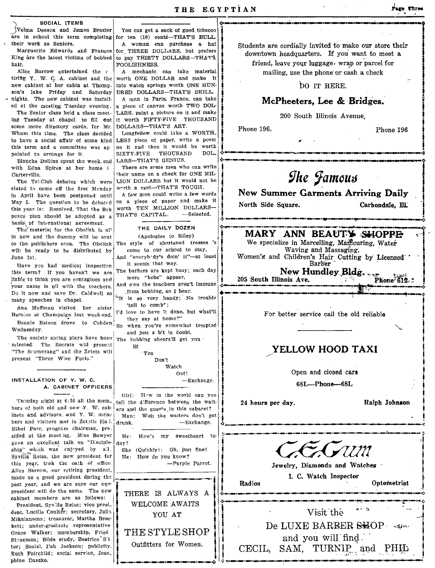**c .. -**

are in school this term completing for ten  $(10)$  cents-THAT'S BULL.<br>their work as Seniors. A woman can purchase a hat

hair. Proclished and Proclished Proclished Proclished Proclished Proclished Proclished Proclished Proclished Proclished Proclished Proclished Proclished Proclished Proclished Proclished Proclished Proclished Proclished Pro

tirifig Y. W. C. A. cabinet and the new cabinet at her cabin at Thompson's lake Friday and Saturday DRED DOLLARS-THAT'S SKILL.<br>nights. The new cabinet was install. A man in Paris, France, can take nights. The new cabinet was install-

some more directory cards, for  $Mr.$  DOLLARS-THAT'S ART.<br>Wham this time. The class decided Longfellow could take a WORTH. some more directory cards, for Mr. DOLLARS—THAT'S ART.<br>
Wham this time. The class decided Longfellow could take a WORTH.<br>
to have a social affair of some kind LESS piece of paper, write a poem to have a social affair of some kind this term and a committee was ap on it and then it would be worth pointed to arrange for it.  $SIXTY-FIVE$  THOUSAND DOL.

with Edna Spires at her home i There are some men who can write<br>Carterville. It is their name on a check for ONE MIL-

In April have been postponed until a few men could write a lew words<br>May 5. The question to be debated on a piece of paper and make it North Side Square. Carbondale, III. peace plan should be adopted as a THAT'S CAPITAL.  $-$ Selected. basis\ of international agreement.<br>The material for the Obelisk is all . The material for the Obelisk Is aI' ':~~J--"'-"'-'\_--...u \_\_ '\_·I~Q.~it-'\_a\_n"'lI\_n\_L· <sup>I</sup>

in now and the dummy will be sent (Apologies to Riley)<br>to the publishers scon. The Obelisk The style of shortened tresses 's to the publishers scon. The Obelisk The style of shortened tresses<br>will be ready to be distributed by  $\sim$  come to our school to stay, will be ready to be distributed by

this term? If you haven't we are The barbers are kept bus;<br>lights to think you are containing and more "bobs" appear, liable to think you are contagious and  $\begin{vmatrix} \text{more} & \text{fobs} \\ \text{long} & \text{upper} \end{vmatrix}$  and  $\begin{vmatrix} \text{f} & \text{205} \\ \text{four name} & \text{in} \end{vmatrix}$ ,  $\begin{vmatrix} \text{f} & \text{205} \\ \text{four name} & \text{in} \end{vmatrix}$ basis of international arecement.<br>
The DAILY DOZEN<br>
In now and the dummay will be sent<br>
in now and the dummay will be sent<br>
to the publishers scon. The Obelisk The style of shortened tresses 's<br>
we specialize in Marcelling

Bernice at Champaign last week-end. I'd love to have it done, but what'll

Bonnie Batson drove to Cobden!  $_{\text{So}}$ Wednesday.

The society spring plays have been The hobbing shears'll get you selected: The Socrats will present  $E_f$ "The Bromerang" and the Zetets will present "Three Wise Fools."

IN,STALLATION OF Y. W. C. A. CABINET OFFICERS

Tuesday night at 6:30 all the mem. tell the difference between the wait  $\begin{bmatrix} 1 & 24 & \text{hours per day.} \\ \text{if } 1 & 24 & \text{hours per day.} \end{bmatrix}$  Ralph Johnson Tuesday night at  $6:30$  all the members of both old and new  $X$ . W. cabinets and advisors, and Y. W. mem.  $\begin{bmatrix} 1 & 0 \\ 0 & \text{Man} \end{bmatrix}$ bers and visitors met in Zet<sub>2</sub>tic Ha  $l$ .  $d$ runk. Ethel Parr, program chairman, presided at the meeting. Miss Bowyer  $|$  He: How's my sweetheart to gave an excellent talk on "Disciple- $\vert$  day? ship" which was enjoyed by all. She (Quickly): Oh, just fine! Syvilla Reiss, the new president for  $H_{e}$ : How do you know? this year, trok the oath of office.  $-$ Purple Parrot. Alics Barrow, our retiring president, made us a good president during the past year, and we are sure our new president will do the same. The new cabinet members are as follows:

President, Syvilla Reiss; vice presi. dent, Lucille Coulter; secretary, Julia Mikalanscas; treasurer, Martha Brockett; under.graduate representative Grace Walker; membership, Fried Stoneman; Bible study, Beatrice S't ter; Social, Ilah Jackson; publicity. Ruth Fairchild; social service, Jose\_ phine Daszko.

SOCIAL ITEMS Velma Deason and James Brazier You can get a sack of good tobacco are in school this term completing for ten (10) cents—THAT'S BILL. A woman can purchase a hat Marguerite Edwards and Frances for THREE DOLLARS, but prefers<br>King are the latest victims of bobbed to pay THIRTY DOLLARS—THAT'S to pay THIRTY DOLLARS-THAT'S

Alice Barrow entertained the  $r \mid A$  mechanic can take material<br>rifig Y, W. C. A. cabinet and the worth ONE DOLLAR and make it into watch springs worth ONE HUNed at the meeting Tuesday evening. a piece of canvas worth TWO DOL-The Senior class held a class meet- LARS, paint a picture on it and make ing Tuesday at chapel to fill out it worth FIFTY-FIVE THOUSAND it worth FIFTY-FIVE THOUSAND

Blanche Dollins spent the week. end LARS-THAT'S GENIUS.

arterville.  $\sigma$  their name on a check for ONE MIL.  $\sigma$  and  $\sigma$  of  $\sigma$  one  $\sigma$  and  $\sigma$  of  $\sigma$  one  $\sigma$  is  $\sigma$  and  $\sigma$  of  $\sigma$  of  $\sigma$  of  $\sigma$  of  $\sigma$  or  $\sigma$  or  $\sigma$  or  $\sigma$  or  $\sigma$  or  $\sigma$  or  $\sigma$  or  $\sigma$  or  $\sigma$ with Edna Spires at her home interest are some men who can write carrier of the Carrierville.<br>
The Tri-Club debates which were UION DOLLARS but it would not be stated to come off the first Mcnday werth a cent-THAT'S TOUGH.

## THE DAILY DOZEN

June 1st.<br>  $\begin{bmatrix} \text{And "everyb'dy's doin' it"—at least} \\ \text{If } \text{sems that way.} \end{bmatrix}$ 

Have you had medical inspection it seems that way.<br>his term? If you haven't we are The barbers are kept busy; each day

many speeches in chapel.<br>
Ana Huffman visited her sister (all to comb''; ... in the latter of the state of the state of the state of the state of the state of the state of the state of the state of the state of the state

when you're somewhat tempted

and just a bit in doubt,

'You Don't Watch

Out!<br>
-Exchange.

Girl: Hw in the world can you ------ tell the difference between the wait-Well the waiters don't get<br>-Exchange. -Exchange. **.;. \_\_\_\_** ~\_., **\_\_** ! ,-,-------------,\_.\_-"-\_.\_---------.:

THERE IS ALWAYS A WELCOME AWAITS YOU AT THE STYLE SHOP Outfitters for Women.

Students 'are cordially invited to make our store their downtown headquarters. If you want to meet a friend, leave your luggage, wrap or parcel for

mailing, use the phone'Qr cash a check

maning, use the phone of cash a check<br>DO IT HERE.

## McPheeters. Lee & Bridges.

200 South Illinois Avenue.

t \_\_\_\_ -..~\_~. \_\_ ~.~ \_\_\_ a\_~' \_\_ ~'~ \_\_\_ D\_~:~~'~--~~.WN~-"~~~CD~ \_\_\_\_\_\_\_\_ ~~~~~:

.......  $\ddot{\phantom{a}}$ 

> i  $\mathbf{I}$ i

į. i i I

!i i

1-

# MARY ANN BEAUTY SHOPPE

We specialize in Marcelling, Mamcuring, Water Waving and Massaging. Women's and Children's Hair Cutting by Licensed<br>Barber

New Hundley Bldg. , Fhone 612.

love to have it done, but what'll  $\left\{\n\begin{array}{ccc}\n\text{For better service call the old reliable} \\
\end{array}\n\right\}$ 

# YELLOW HOOD TAXI

Open and closed cars

68L--Phone-68L

24 hours per day. Ralph Johnson



; •. \_.\_, \_\_\_\_\_\_\_ n-.\_, \_\_\_\_\_ -.\_,~ \_\_\_\_\_\_\_ .l,'o \_\_\_\_\_ ••

I. C. Watch Inspector

Radios Optometrist

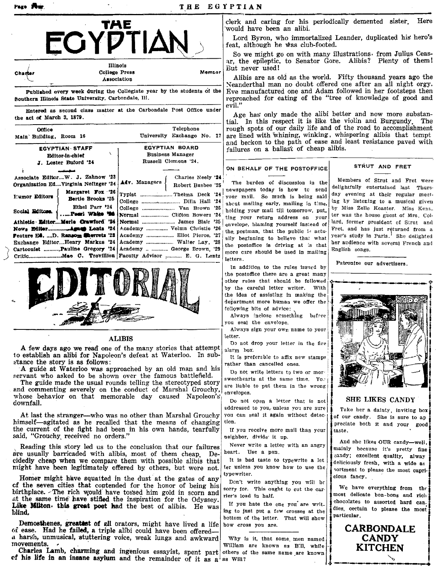

| Chamer | Illinois<br>College Press                                              | Member |
|--------|------------------------------------------------------------------------|--------|
| v.     | Association                                                            |        |
|        | Published every week during the Collegiate year by the students of the |        |

Southern Illinois State University, Carbondale, Ill.

Entered as second class matter at the Carbondale Post Office under the act of March 3, 1879.

| <b>Office</b><br>Main Building, Room 16<br><b>EGYPTIAN STAFF</b><br>Editor-in-chief            | Telephone<br>University Exchange No. 17<br><b>EGYPTIAN BOARD</b><br><b>Business Manager</b>                                                                                                          | failures on a ballast of cheap alibis.                                                                                                                                                                                                                                                                         | $\mu$ and $\mu$ and $\mu$ are $\mu$ are $\mu$ and $\mu$ and $\mu$ and $\mu$ and $\mu$ and $\mu$<br>rough spots of our daily life and of the road to accomplishment<br>are lined with whining, winking, whispering alibis that tempt<br>and beckon to the path of ease and least resistance paved with         |
|------------------------------------------------------------------------------------------------|------------------------------------------------------------------------------------------------------------------------------------------------------------------------------------------------------|----------------------------------------------------------------------------------------------------------------------------------------------------------------------------------------------------------------------------------------------------------------------------------------------------------------|---------------------------------------------------------------------------------------------------------------------------------------------------------------------------------------------------------------------------------------------------------------------------------------------------------------|
| J. Lester Buford '24<br>Associate EditorW. J. Zahnow '23                                       | Russell Clemens '24.<br>Charles Neely '24                                                                                                                                                            | ON BEHALF OF THE POSTOFFICE                                                                                                                                                                                                                                                                                    | STRUT AND FRET                                                                                                                                                                                                                                                                                                |
| Organization EdVirginia Neftzger '24<br>Margaret Fox '26<br>Humor Editors<br>Bertie Brooks '25 | Adv. Managers<br>Robert Busbee '25<br>College  Van Brown '25<br>Athletic EditorMerie Crawford '24 Normal  James Blair '25                                                                            | The burden of discussion in the<br>newspapers today is how to send<br>your mail. So much is being said<br>about mailing early, mailing in time,<br>holding your mail till tomorrow, put.<br>ting your return address on your<br>envelope, blaming yourself instead of<br>the postman, that the public is actu- | Members of Strut and Fret were<br>delightfully entertained last Thurs-<br>day evening at their regular meet-<br>ing by listening to a musical given<br>by Miss Zelle Keaster. Miss Keas_<br>ter was the house guest of Mrs. Col-<br>lard, former president of Strut and<br>Fret, and has just returned from a |
| Ethel Parr '24<br>Social Editors.<br>Pearl White '94                                           |                                                                                                                                                                                                      |                                                                                                                                                                                                                                                                                                                |                                                                                                                                                                                                                                                                                                               |
|                                                                                                | Feature E., D. Ransom <b>Cherrets</b> '23   Academy  Eliot Pierce, '27<br>Exchange EditorHenry Markus '24   Academy  Walter Lay, '28<br>Cartoonist Pauline Gregory '24   Academy   George Brown, '29 | ally beginning to believe that what<br>the postoffice is driving at is that<br>more care should be used in mailing<br>letters.                                                                                                                                                                                 | year's study in Paris.' She delighted<br>her audience with several French and<br>English songs.<br>Patronize our advoutiness                                                                                                                                                                                  |



## ALIBIS

A few days ago we read one of the many stories that attempt to establish an alibi for Napoleon's defeat at Waterloo. In sub- ~tance the story is as follows:

A guide at Waterloo was approached by an old man and his servant who asked to be shown over the famous battlefield.

The guide made the usual rounds telling the stereotyped story and commenting severely on the conduct of Marshal Grouchy, whose behavior on that memorable day caused Napoleon'&' downfall.

At last the stranger—who was no other than Marshal Grouchy himself-agitated as he recalled that the means of changing the current of the fight had been in his own hands, tearfully said, "Grouchy, received no orders."

Reading this story led us to the conclusion that our failures are usually barricaded with alibis, most of them cheap. Decidedly cheap when we compare them with possible alibis that might have been legitimately offered by others, but were not.

Homer might have squatted in the dust at the gates of any  $\sum_{\text{Don't}}$  write anything you will be cf the seven cities that contended for the honor of being his sorry for. This ought to cut the carbirthplace. The rich would have to sed him gold in scorn and  $\frac{\text{surf}}{\text{rier's load in half.}}$ at the same time have stifled the inspiration for the Odyssey. The storm in the one you are writ-<br>Like Milton. this great poet had the best of alibis. He was If you hate the one you are writblind. Ing to just put a few crosses at the blind.

Demosthenes, greattest of all orators, might have lived a life how cross you are.<br>
ease. Had he failed, a triple althi could have been offered. oi ease. Had he failed, a triple alibi could have been offered a harsh, unmusical, stuttering voice, weak lungs and awkward Why is it, that some men named  $\begin{bmatrix} \cdot & \cdot & \cdot \\ \cdot & \cdot & \cdot \\ \cdot & \cdot & \cdot & \cdot \end{bmatrix}$ 

The Solution of his life in an insane asylum and the remainder of it as a as William are known as B.D., while and the CANDY contract of the same are known as B.D., while the same Land contract of the same contract of the s

clerk and caring for his periodically demented sister. Here 'would have been an alibi.

Lord Byron, who immortalized Leander, duplicated his hero's feat, although he Was club-footed.

So we might go on with many illustrations. from Julius Ceas ar, the epileptic, to Senator Gore. Alibis? Plenty of them! But never used!

Alibis are as old as the world. Fifty thousand years ago the Neanderthal man no doubt offered one after an all night orgy. Eve manufactured one and Adam followed in her footsteps then reproached for eating of the "tree of knowledge of good and evil."

Age has only made the alibi better and now more substantial. In this respect it is like the violin and Burgundy. The rough spots of our daily life and of the road to accomplishment are lined with whining, winking, whispering alibis that tempt and beckon to the path of ease and least resistance paved with failures on a ballas't of cheap alibis.

## ON BEHALF OF THE POSTOFFICE STRUT AND FRET

In addition to the rules issued by

you seal the envelope.

rather than cancelled ones.

neighbor, divide' it up.

heart. Use a pen.

Do not open a letter that is not addressed to you, unless you are sure you can seal it again without detec-

If YOU receive more mail than your

Never wr'te a letter with an angry

It is bad taste to typewrite a let ter unless you know how to use tbe

bottom of the letter. That will show

alarm box.

tion.

the postoffice there are a great many other rules that should be followed<br>by the careful letter writer. With In addition to the rules issued by  $\begin{array}{|c|c|c|c|c|}\n\hline\n\text{the postofifice there are a great many other rules that should be followed by the careful letter writer. With the idea of assigning in making the\n\end{array}$ the idea of assisting in making the the idea of assisting in making the department more human we offer the following bits of advice: following bits of advice:<br>Always inclose semething before Always sign your own name to your letter. Do not drop your letter in the fire It is preferable to affix new stamps Do not write letters to two or more sweethearts at the same time. You are liable to put them in the wrong  $\begin{bmatrix} 1 \end{bmatrix}$ 

# SHE LIKES CANDY

Take her a dainty, inviting box of our candy. She is sure to ap preciate both it and your good taste.

And she likes OUR candy-well, mainly because it's pretty fine candy; excellent quality, alway deliciously fresh, with a wide as Let unless you know now to use the  $\int_{0}^{x}$  sortment to please the most capricious fancy.

> We have everything from the most delicate bon-bons and rich chocolates to assorted hard candies, certain to please the most particular.

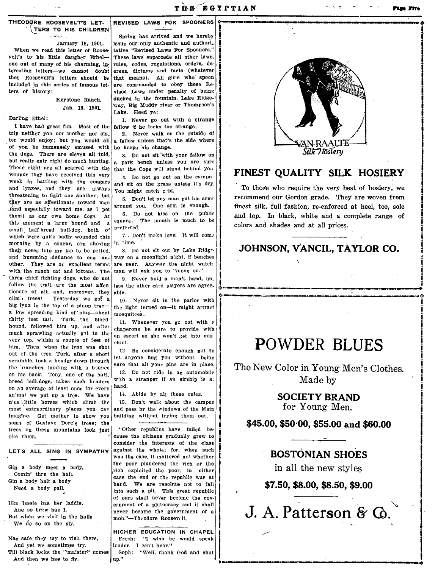## TH EOD9RE ROOSEVELT'S LET- TERS TO HIS CHILDREN

January 18, 1901. When we read this letter of Roosevelt's to his little daugher Ethel--<br>one out of many of his charming, inone out of many of his charming, in- rules, codes, regulations, orders, deterministic reasonable reasonable reasonable reasonable reasonable reasonable reasonable reasonable reasonable reasonable reasonable reasonable rea teresting letters--we cannot doubt crees, dictums and facts (whatever<br>that Roosevelt's letters should be that means). All girls who spoon that Roosevelt's letters should be that means). All girls who spoon included in this series of famous let-<br>spec commanded to obey these Re-Included in this series of famous let- are commanded to obey these Reters of history:

> Keystone Ranch, Jan. 18, 1901.

### Darling Ethel:

I have had great fun. Most of the  $|$  fellow if he looks too strange.<br>in neither you nor mother nor sis **2** Never walk on the outside of trip neither you nor mother nor sis\_<br>ter would enjoy; but you would all of you be immensely amused with he keeps his change.<br>the dogs. There are eleven all told. <br>  $\frac{1}{2}$  De not sit with the dogs. There are eleven all told,  $\begin{bmatrix} 3 \\ 0 \end{bmatrix}$  Do not sit with your fellow on but really only eight do much hunting. but really only eight do much hunting.  $\begin{bmatrix} a \\ h \end{bmatrix}$  park bench unless you are sure These eight are all scarred with the  $\begin{bmatrix} h_{n+1} & h_{n+1} \\ h_{n+1} & h_{n+1} \end{bmatrix}$  from will stand behind you wounds theY have received this very week In battling with the cougars and lynxes, and they are always threatening to fight one another; but they are as affectionate toward men ..{~nd especially toward me, as I pet them) as our own home dogs. At this moment a large hound and  $a \begin{bmatrix} square \\ three \end{bmatrix}$ small half-breed bull-dog, both  $o^e$  preferred.<br>which were quite hadly wounded this 7. Don't make love. It will come which were quite badly wounded this  $\begin{bmatrix} 7. & D \\ m \end{bmatrix}$  morning by a conger are showing in time. morning by a cougar, are shoving their noses into my lap to be petted. 8. Do not sit out by Lake Ridge. and humming defiance to one an- $\left[\right]$  way on a moonlight n'ght, if benches other. They are on excellent terms are near. Auyway the night watchother. They are on excellent terms are near. Anyway the night watch the ranch cat and kittens. The man will ask you to "move on." with the ranch cat and kittens. The three chief fighting dogs, who do not  $\begin{vmatrix} 9. & \text{Never hold a man's hand, un-} \\ \text{follow the trail. are the most affect } \text{less the other card players are agree-} \end{vmatrix}$ follow the trail, are the most affec  $\begin{vmatrix} \text{less} \\ \text{ab} \end{vmatrix}$  then the state of all, and, moreover, they able. tollow the trail, are the most affected the other card players are agreed the concentration of the contentration of the card players are agreed the concentration of the contentration of  $\frac{1}{2}$  and, moreover, they able. climh trees! Yesterday we got a 10. Never sit in the parlor with big lynx in the top of a pinon tree.  $\frac{1}{10}$  is light turned on the initial attract big lynx in the top of a pinon tree- the light turned on-it might attract a low spreading kind of pine-about mosquitees. thirty feet tall. Turk, the bloed· turry reet tall. Turk, the blocd.<br>hound, followed him up, and after the same he super to provide with much sprawling actually get to the chaperone be sure to provide with very top. within a couple of feet of  $\lim_{\text{chief.}}$ him. Then, when the lynx was shot the tree, when the type was short  $\begin{bmatrix} 12. & B$ e considerate enough not to our of the tree, Turk, after a short let anyone hug you without being scramble, took a header down through  $\begin{vmatrix} \text{let} \\ \text{sure} \end{vmatrix}$  without being the branches, landing with a bounce  $\begin{bmatrix} \text{sur} & \text{sur} \\ 13 & \text{Do not} \end{bmatrix}$  and  $\begin{bmatrix} \text{sur} \\ \text{un} \\ \text{un} \end{bmatrix}$  and  $\begin{bmatrix} \text{sur} \\ \text{un} \\ \text{un} \end{bmatrix}$  and  $\begin{bmatrix} \text{sur} \\ \text{un} \\ \text{un} \\ \text{un} \end{bmatrix}$ on his back. Tony, one of the half  $\vert$  13. Do not ride in an automobile<br>bread bull does takes such bondors with a stranger if an airship is at breed bull-dogs, takes such headers with an average at least ance for averwhend. on an average at least once for every hand.<br>animal we put up a tree. We have 14. Abide by all these rules. animal we put up a tree. We have n'ce dittle horses which climb the 15. Don't walk about the campus imagine. Get mother to show you<br>some of Gustave Dore's trees; the trees on these mountains look just "Other republics have failed be-<br>like them,  $\frac{d}{dx}$  cause the citizens gradually grew to imagine. Get mother to show you building without trying them out.<br>
some of Gustave Dore's trees; the<br>
trees on these mountains look just<br>
like them.<br>
Since the class cause the citizens gradually grew to<br>
consider the inter

Comin' thru the hall. Gin a body halt a body Need a body pall.

Illra lassie has her laddie, Ane so braw hae I. But when we visit in the halls We do so on the sly.

Nae safe theY say to visit there, And yet we sometimes try. Till black locks the "maister" comes And then we hae to fly.

REVISED LAWS FOR SPOONERS

Spring has arrived and we hereby issue our only authentic and authori\_ tatlve "Revised Laws For spooners:' These laws supercede all other laws, vised Laws under penalty of being ducked In the fountain, Lake Ridge- 'way, Big Muddy river or Thompson's Lake. Heed ye:

1. Never go out with a strange fellow if he looks too strange.

a fellow unless that's the side where

that the Cops will stand behind you 4. Do not go out on the campuand sit on the grass unless it's dry.

You might catch cold. 5. Don't let any man put his arm"

around you. One arm is enough. 6. Do not kiss on the public

square. The mouth is much to be

an escort so she won't get into mis

most extraordinary places you can and pass by the windows of the Main imagine. Get mother to show you building without trying them out.

consider the ihterests of the class LET'S ALL SING IN SYMPATHY against the whole; for, when such whether the poor plundered the rich or the  $G$ in a body meet a body,  $\begin{bmatrix} \text{etc.} \\ \text{rich.} \end{bmatrix}$  exploited the poor; in either case the end of the republic was at hand. We are resolute not to fall into such a pit. This great republic of ours shall never become the government of a plutocracy and it shall never become the government of a mob."-Theodore Roosevelt.

> HIGHER' EDUCATION IN CHAPEL Fresh: "1 wish he would speak louder. 1 can't hear." Soph: "Well, thank God and shut up."



# FINEST QUALITY SILK HOSIERY

To those who require the very best of hosiery, we recommend our Gordon grade. They' are woven from finest silk, full fashion, re-enforced at heel, toe, sole and top. In black, white and a complete range of colors and shades and at all prices.

# JOHNSON, VANCIL. TAYLOR co.

# POWDER BLUES

The New Color in Young Men's Clothes. Made by

SOCIETY BRAND

for Young Men.

# \$45.00, \$50'00, \$55.00 and \$60.00

# BOSTONIAN SHOES

in all the new styles

\$7.50, \$8.00, \$8.50, \$9.00

J. A. Patterson & Q.

**·-0** 

i<br>International<br>International

Indiana and Indian American American American American American American American American American American A<br>Indian American American American American American American American American American American American Amer

o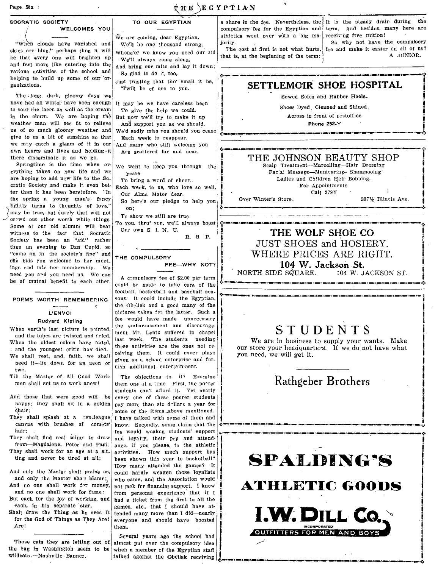| ۹.<br><b>THE EGYPTIAN</b><br>Page Six :                                                                                                                                                                                                                                                                                                                                                                                       |                                                                                                                                                                                                                                                                               |                                                                                                                                                                                                                                                                                                                                                                                                         |  |  |
|-------------------------------------------------------------------------------------------------------------------------------------------------------------------------------------------------------------------------------------------------------------------------------------------------------------------------------------------------------------------------------------------------------------------------------|-------------------------------------------------------------------------------------------------------------------------------------------------------------------------------------------------------------------------------------------------------------------------------|---------------------------------------------------------------------------------------------------------------------------------------------------------------------------------------------------------------------------------------------------------------------------------------------------------------------------------------------------------------------------------------------------------|--|--|
| SOCRATIC SOCIETY<br><b>WELCOMES YOU</b><br>"When clouds have vanished and<br>skies are blue." perhaps then it will<br>be that every one will brighten up<br>and feel more like entering into the<br>various activities of the school and<br>helping to build up some of our 'or-                                                                                                                                              | TO OUR EGYPTIAN<br>We are coming, dear Egyptian,<br>We'll be one thousand strong.<br>Whene'er we know you need our aid<br>We'll always come along,<br>And bring our mite and lay it down;<br>So glad to do it, too,                                                           | a share in the fee. Nevertheless, the It is the steady drain during<br>the<br>compulsory fee for the Egyptian and term. And besides, many here are<br>receiving free tuition!<br>athletics went over with a big ma-<br>So why not have the compulsory<br>iority.<br>fee and make it easier on all of us?<br>The cost at first is not what hurts,<br>A JUNIOR.<br>that is, at the beginning of the term: |  |  |
| ganizations.                                                                                                                                                                                                                                                                                                                                                                                                                  | Just trusting that the' small it be,<br>'Twill be of use to you.                                                                                                                                                                                                              | SETTLEMOIR SHOE HOSPITAL                                                                                                                                                                                                                                                                                                                                                                                |  |  |
| The long, dark, gloomy days we<br>have had all winter have been enough<br>to sour the faces as well as the cream<br>in the churn. We are hoping the<br>weather man will see fit to relieve                                                                                                                                                                                                                                    | It may be we have careless been<br>To give the help we could.<br>But now we'll try to make it up<br>And support you as we should.                                                                                                                                             | Sewed Soles and Rubber Heels.<br>Shoes Dyed Cleaned and Shined,<br>Across in front of postoffice<br>Phone 252-Y                                                                                                                                                                                                                                                                                         |  |  |
| us of so much gloomy weather and<br>give to us a bit of sunshine so that                                                                                                                                                                                                                                                                                                                                                      | We'd sadly miss you should you cease<br>Each week to reappear.                                                                                                                                                                                                                |                                                                                                                                                                                                                                                                                                                                                                                                         |  |  |
| we may catch a gleam of it in our<br>own hearts and lives and holding it<br>there disseminate it as we go.<br>Springtime is the time when ev-<br>erything takes on new life and we<br>are hoping to add new life to the So-<br>cratic Society and make it even bet-<br>ter than it has been heretofore. "In<br>the spring a young man's fancy<br>lightly turns to thoughts of love,"<br>may be true, but surely that will not | And many who still welcome you<br>Are scattered far and near.<br>We want to keep you through the<br>years<br>To bring a word of cheer.<br>Each week, to us, who love so well,<br>Our Alma Mater dear.<br>So here's our pledge to help you<br>on;<br>To show we still are true | THE JOHNSON BEAUTY SHOP<br>Scalp Treatment-Marcelling-Hair Dressing<br>Fac.al Massage-Manicuring-Shampooing<br>Ladies and Children Hair Bobbing.<br>For Appointments<br>Call 279Y<br>2071% Illinois Ave.<br>Over Winter's Store.                                                                                                                                                                        |  |  |
| crowd out other worth while things.<br>Some of our old alumni will bear<br>witness to the fact that Socratic<br>Society has been an "aid" rather<br>than an evening to Dan Cupid, so<br>"come on in, the society's fine" and<br>she bids you welcome to her meet.<br>ings and into her membership. We<br>need you and you need us. We can<br>be of mutual benefit to each other.                                              | To you, thru' you, we'll always boost<br>Our own S. I. N. U.<br>R. B. P.<br>THE COMPULSORY<br>FEE-WHY NOT?<br>A compulsory fee of \$2.00 per term<br>could be made to take care of the<br>football, basketball and baseball sea-                                              | THE WOLF SHOE CO<br>JUST SHOES and HOSIERY.<br>WHERE PRICES ARE RIGHT.<br>104 W. Jackson St.<br>NORTH SIDE SQUARE.<br>104 W. JACKSON ST.                                                                                                                                                                                                                                                                |  |  |
| POEMS WORTH REMEMBERING                                                                                                                                                                                                                                                                                                                                                                                                       | sons. It could include the Egyptian,                                                                                                                                                                                                                                          |                                                                                                                                                                                                                                                                                                                                                                                                         |  |  |

We are in business to supply your wants. Make<br>when the oldest colors have faded, these activities are the ones not re-<br>and the required of the support of the students of the students are the ones not re-<br> $\begin{bmatrix} 1 & 0 \\ 0 &$ and the youngest critic has died. these activities are the ones not re-, our store your headquarters. If we do not have what  $\frac{1}{2}$  our store your headquarters. If we do not have what  $\frac{1}{2}$  and the will get it. hen the oldest colors have faded,  $\begin{bmatrix} \text{dist} & \text{weeK.} & \text{the students} & \text{theed the second line} \\ \text{and the youngest critic has' died.} \\ \text{the shall rest, and, faith, we shall  
need it—lie down for an aeon or  
two.} \end{bmatrix}$  eshall  $\begin{bmatrix} \text{the use activities are the ones not re-} \\ \text{defving them.} & \text{It could cover plays} \\ \text{given as a school enterprise and fur-} \\ \text{with additional entertainment.} \end{bmatrix}$ . We are in business to



and no one shall work for fame;

And no one shall work for money,

L'ENVOI Rudyard Kipiing K,

sons. It could include the Egyptian, the Obelisk and a good many of the pictures taken fcr the latter. Such a fee would have made unnecessary<br>the embarrassment and discourage-When earth's last picture is pointed. the embarrassment and discourage-<br>and the tubes are twisted and direct. The students are ding  $\sum_{\text{max}}$   $\sum_{\text{max}}$  or  $\sum_{\text{max}}$   $\sum_{\text{max}}$   $\sum_{\text{max}}$   $\sum_{\text{max}}$   $\sum_{\text{max}}$   $\sum_{\text{max}}$ When earth's last picture is pointed.<br>
when earth's last week and the tubes are twisted and dried.<br>
when the oldest colors have faded,<br>
we are in business to supply your wants. Make<br>
we shall rest, and, faith, we shall cel

Till the Master of All Good Work-<br>
The objections to it? Examine |<br>
them one at a time. First, the po^ter Rrothers state and the state is can't afford it. Yet nearly And those that were good will be every one of these poorer students happy; they shall sit in a golden pay more than six dellars a year for pay more than six d 'Hars a year for hair; . some of the items above mentioned.<br>They shall splash at a ten-league I have talked with some of them and They shall splash at a ten\_league I have talked with snme of them and i I canvas with brushes of comets' know. Secpndly, some claim that the .:.~~~.----->-"-.-.-.---~~I->-" \_\_\_\_ , ... They shall splash at a ten.league I have talked with some of them and canvas with brushes of comets' know. Secondly, some claim that the second second second interval that is to draw and loyalty, their pep and attend- I . They shall find real saints to draw and loyalty, their pep and attend-<br>from-Magdalene, Peter and Panl; ance, if you please, to the athletic<br>They shall work for an age at a sit. activities. How much support has They shall find real saints to draw and loyalty, their pep and attend-<br>from—Magdalene, Peter and Pani; ance, if you please, to the athletic<br>They shall work for an age at a sit\_dactivities. How much support has I I I I I I and only the Master shall blame; who came, and the Association would at each for the joy of working, and had a ticket from the first to all the each, in his separate star, each, in his separate star, games, etc., that I should have at Shall draw the Thing as he sees It tended many more than I did—nearly hall draw the Thing as he sees It tended many more than I did—nearly for the God of Things as They Are! everyone and should have boosted

Those cats they are letting out of almost put over the compulsory idea the bag in Washington seem to be when a member of the Egyptian staff<br>wildcats.—Nashville Banner.<br>talked against the Obeliak recolving talked against the Obelisk receiving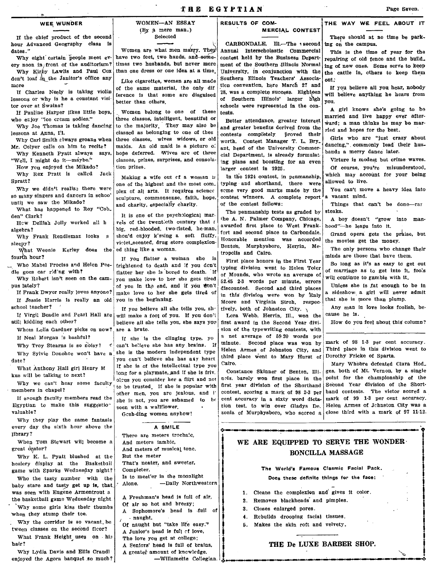If the chief product of the second hour Advanced Geography class is dates."<br>Why eight certain people meet ev-

ery noon in front of the auditorium? Why Kirby Lawlis and Paul Cox don't loaf in the Janitor's office any

lessons or why is he a constant visi- exerce is that some are disguised of Southern Illinois' larger high out<br>tor over at Swains? schools were represented in the con-

Why we didn't realize there were plex of all arts. It requires science so many singers and dancers in school containing commonsons folly here

What has happened to Roy "Cob\_  $\begin{vmatrix} 0 & 0 & 0 \\ 0 & 0 & 0 \\ 0 & 0 & 0 \end{vmatrix}$  when  $\begin{vmatrix} 0 & 0 & 0 \\ 0 & 0 & 0 \\ 0 & 0 & 0 \end{vmatrix}$  are penmanship tests as graded by steaks.

who Mabel Prociss and Helen Pee- frightened to death and if you dcn't typing division went to Helen Toler and division went to Helen Toler So long as the solong as the so long as the so long as it is assumed to get out to

Whom Lelia Gardner picks on now? are a brute.

date? ., you can't believe she has a&y heart

Egyptian to make this suggestio" seen with a wallflower. valuable?

Why they play the same fantasia every day the sixth hour above the library?

When Tom Stewart will become a great drator?

Why K. L. Pyatt blushed at the hosiery display at the Basketball game with Sparks Wednesday night?

baby stare and tasty get up is, that was seen with Eugene Armentrout a the basketball game Wednesday night . 'Why some girls kiss their thumbs

when they stump their toe.

tween classes on the second flcor? A Junior's head is full ct love,

What Frank Height uses on  $\overline{h}$  The love you get at college: hair? A seniors' head is full of brains,

Why Lydia Davis and Ellis Crand! enjoyed the Agora banquet so much?

WEE WUNDER WOMEN-AN ESSAY  $(By a)$  mere man.) Selected

> Women are what men marry. They<br>have two feet. two hands, and somehave two feet, two hands, and-some- contest held by the Business Depart-<br>times two husbands, but never more ment of the Southern Illinois Normal

more of the same material, the only diff the convention, here March 27 and If the only diff the only diff the only diff the same material, the only diff  $\begin{bmatrix} 28 \\ 28 \end{bmatrix}$  , was a complete success. Eighteen If Charles Neely is taking violin terence is that some are disguised 28, was a complete success. Eighteen will believe anything he hears from

who erjoy "ice cream sodies." | three classes, intelligent, beautiful or Better attendance, greater interest | married and irre mappy occurrence why Joe Thomas is taking dancing to the majority. They may also be and greate lessons at Anna, Il. (classed as belonging to one of thes completely proved their red and moves for the best.<br>Why Carl Smith always groans when three classes, wives widows, or aid worth. Contest Manager T. L. Bry. Girls w r. Colyer calls on him to recite? maids. An old maid is a picture of ant, head of the University Commer- dancing, commonly lead to Windows Says, hope deferred. Wives are of three eight Department, is already formulat. Why Kenneth Pyatt always says, hope deferred. Wives are of three cial Department, is already formulat bands a merry dance later.<br>"Well, I might do it—maybe." classes, prizes, surprises, and consola- ing plans and boosting Well, I might do it-maybe." classes, prizes, surprises, and consola-  $\frac{1}{2}$  ing plans and boosting for an even How you enjoyed the Mikado? tion prizes.

pratt?<br>Why we didu't realize there were one of the highest and the most com\_| typing and shorthand, there were allowed to live. so many singers and dancers in schoo' sculpture, commonsense, faith, hope. contest winners. A complete report a vacant mind.<br>until we saw the Mikado? and charity, especially charity.  $\begin{array}{|l|l|} \hline \end{array}$  of the contest follows: Things that can't be done--rar

den" Clark? It is one of the psychological mar-  $\begin{bmatrix} 1 & 1 & 1 \\ 1 & 1 & 1 \end{bmatrix}$  the A. N. Palmer Company, Chicago, A boy doesn't "grow into man-Hew Delliah Jolly worked all h vels of the twentieth century that  $\epsilon$  rhe A. N. Palmer Company, Chicago, A boy doesn't "grow" algebra? big, red-blooded, two-disted, he-man, awarded first place to West Frank-Honorable mentlon was accorded the I violet\_scented, drug store complexion- $\hat{M}_{\text{heat}}$  Weenie Kerley does the ed thing like a woman. BentOn, Murphysboro, Herrin, Me<sup>.</sup> The only persons who change their

fourth hour?<br>Who Mabel Prociss and Helen Pee-<br>No Mabel Prociss and Helen Pee-<br>frightened to death and if you den't strate and the First Year minds are those that have them.

school teacher?  $\begin{array}{c|c} \text{If you believe all she tells you, sh-1} \end{array}$ <br>If you believe all she tells you, sh-If Virgil Beadle and Pearl Hall are will make a fool of you. If you don't still kidding each other? believe all she tells you, she says you first award in the Second Year divi. How do you feel about this column?

If Neal Morgan 's bashful? If she is the clinging type, yo Why Troy Stearns is so noisy?  $\leq$  can't believe she has any brains. If Why Sylvie Donohoe won't have a she is the modern independent type Helen Armes of Johnston City, and Third place in this division went to the sylvie Donohoe won't have a she is the modern independent type the intervent of What Anthony Hall girl Henry  $M$  If she is of the intellectual type you<br>we will be talking to next? long for a playmate, and if she is friv.

Gesh.ding women anyhow!

### A SMILE

There are meters trochaic, And meters iambic, And meters of musical tone. But tbe meter That's neater, and sweeter, Completer, Who the tasty number with the  $\begin{bmatrix} 1s & to & meet'er & in & the & moment \end{bmatrix}$  to meet'er in the moonlight the tasty get up to the the tast done. - Daily Northwe -Daily Northwestern A Freshman's head is full of air, Of air so hot and breezy; A Sophomore's head Is ,full of

Why the corridor is so vacant, be.  $\left| \int_{\Omega}$  naught, where life easy."

A greater amount of knowledge,

-Willamette Collegian.

 $\sum_{i=1}^{n}$ i<br>I

## RESULTS OF COM- THE WAY WE FEEL ABOUT IT MERCIAL CONTEST

CARBONDALE, Ill.-The a second<br>Annual Interscholastic Commercial Like cigarettes, women are all made Southern Hilnois Teachers' Associa- out.<br>I the same material, the only dif tion convention, here March 27 and If you believe all you hear, nobody or over at Swains?<br>If Pauline Harper likes little boys, Women belong to one of these tests.

Benton, Murphysboro, Herrin, Metropolls and Calro.

de goes car riding with?<br>
Why Robert isn't seen on the cam-<br>
you make love to her she gets tired of marriage as to get into it, foo:s<br>
you make love to her she gets tired  $\begin{bmatrix} 0 & \text{Mounds} & \text{Mounds} \\ \text{Mink} & \text{Mink} & \text{Mink} \end{bmatrix}$ Who Mabel Prociss and Helen Pee-<br>
e goes car riding with!<br>
Why Robert isn't seen on the cam-<br>
you make love to her she gets tired  $\begin{array}{|l|l|l|}\n\hline\n\end{array}$  of Mounds, who wrote an average of will continue to gamble with i pus lately?  $\frac{1}{2}$  of you in the end, and if you likes love to the second and the pus lately? The ISS.45 2-3 words per minute, errors well because to be in the pus lately? The second and third places unce I of you in t make love to her she gets tired of in this division were won by  $\frac{1}{2}$  a sideshow a girl will never you in the beginning. If fessie Harris is really an old you in the beginning.  $\begin{array}{c|c}\n\hline\n\text{R} & \text{where} & \text{where} \\
\hline\n\text{R} & \text{where} & \text{where} \\
\text{global teacher?}\n\end{array}$ tively, both of Johnston City,  $\sqrt{ }$ 

> Lora Webb, Herrin, Ill., won the sion of the typewriting contests, with a net average of 69,20 words per minute. Second place was won by mark of 98 1-3 per cent accuracy.<br>Helen Armes of Johnston City, and Third place in this division went to Helen Armes of Johnston City, and Third place in this divisition that  $\frac{1}{\pi}$  and Third place went to Mary Hurst of Dorothy Fricke of Sparta. third place went to Mary Hurst of Cairo. Mary Whobre defeated Clara Hod\_

tion test, to win over Gladys De.

There should at no time be park-

ing on the campus. This is the time of year for the

repairing of old fence and the build. times two husbands, but never more ment of the Southern Illinois Normal  $\ln g$  of new ones. Some serve to keep University, in conjunction with the the cattle in, others to keep them.<br>Southern Illinois Teachers' Associations.

If Pauline Harper likes little boys, Women belong to one of these tests.<br>who erjoy "ice cream sodies." three classes, intelligent, beautiful or petter attendance, greater interest ward: a man thinks he may be married A girl knows she's going to be

How you enjoyed the Mikado? tion prizes.<br>
Why Rex Pratt is called Jack states of the Mike and the 1925. Of course, you're misunderstood, Why Rex Pratt is called Jack Making a wife out cf a woman is in the 1924 contest, in penmanship, which may account for your being Spratt?

Why Frank Rendleman looks s shou'd enjoy k'ssing a soft fluffy. fort and second place to Carbondale. Grand opera gets the praise, but<br>result in the movies get the money.

Any man in love looks foolish, be· cause he is.

Why we can't hear some faculty of the short of the is popular with  $\begin{bmatrix} 1 & 0 & 0 & 0 \\ 0 & \text{true} & 0 & 0 \\ 0 & \text{true} & 0 & 0 \\ 0 & \text{true} & 0 & 0 \\ 0 & \text{true} & 0 & 0 \\ 0 & \text{true} & 0 & 0 \\ 0 & 0 & 0 & 0 \\ 0 & 0 & 0 & 0 \\ 0 & 0 & 0 & 0 \\ 0 & 0 & 0 & 0 \\ 0 & 0 & 0 & 0 \\$ embers in chapel?<br>If enough faculty members read the state of the state men, you are schamed to be cent accuracy in a sixty word dicta. mark of 99 1-3 per cent accuracy. she is not, you are ashamed to be cent accuracy in a sixty word dicta- mark of 99 1-3 per cent accuracy. zonia of Murphysboro, who scored a close third with a mark of 97 11-12.

# WE ARE EQUIPPED TO SERVE THE WONDER. BONCILLA MASSAGE

## The World's Famous Clasmic: Facial Pack. Does these definite things for the face:

- 1. Cleans the complexion and' gives it color.
- 2\_ Removes blackheads' and pimples.
- 3\_ Closes enlarged pores.
- 4, Rebuilds drooping facial tissues\_
- 6. Makes the skin roft and velvety.

# THE De LUXE BARBER SHOP.